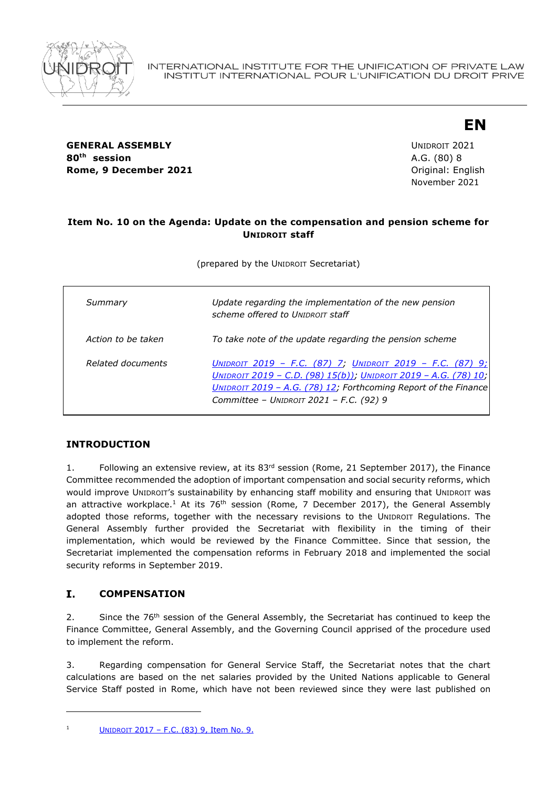

**GENERAL ASSEMBLY CONSUMING A SSEMBLY CONSUMING A SSEMBLY 80th session** A.G. (80) 8 **Rome, 9 December 2021 Communicate Communicate Communicate Communicate Communicate Communicate Communicate Communicate Communicate Communicate Communicate Communicate Communicate Communicate Communicate Communicate Commu** 

November 2021

**EN**

## **Item No. 10 on the Agenda: Update on the compensation and pension scheme for UNIDROIT staff**

(prepared by the UNIDROIT Secretariat)

| Summary            | Update regarding the implementation of the new pension<br>scheme offered to UNIDROIT staff                                                                                                                                                 |
|--------------------|--------------------------------------------------------------------------------------------------------------------------------------------------------------------------------------------------------------------------------------------|
| Action to be taken | To take note of the update regarding the pension scheme                                                                                                                                                                                    |
| Related documents  | UNIDROIT 2019 - F.C. (87) 7; UNIDROIT 2019 - F.C. (87) 9;<br>UNIDROIT 2019 - C.D. (98) 15(b)); UNIDROIT 2019 - A.G. (78) 10;<br>UNIDROIT 2019 - A.G. (78) 12; Forthcoming Report of the Finance<br>Committee - UNIDROIT 2021 - F.C. (92) 9 |

# **INTRODUCTION**

1. Following an extensive review, at its 83<sup>rd</sup> session (Rome, 21 September 2017), the Finance Committee recommended the adoption of important compensation and social security reforms, which would improve UNIDROIT's sustainability by enhancing staff mobility and ensuring that UNIDROIT was an attractive workplace.<sup>1</sup> At its 76<sup>th</sup> session (Rome, 7 December 2017), the General Assembly adopted those reforms, together with the necessary revisions to the UNIDROIT Regulations. The General Assembly further provided the Secretariat with flexibility in the timing of their implementation, which would be reviewed by the Finance Committee. Since that session, the Secretariat implemented the compensation reforms in February 2018 and implemented the social security reforms in September 2019.

#### I. **COMPENSATION**

2. Since the 76<sup>th</sup> session of the General Assembly, the Secretariat has continued to keep the Finance Committee, General Assembly, and the Governing Council apprised of the procedure used to implement the reform.

3. Regarding compensation for General Service Staff, the Secretariat notes that the chart calculations are based on the net salaries provided by the United Nations applicable to General Service Staff posted in Rome, which have not been reviewed since they were last published on

<sup>&</sup>lt;sup>1</sup> UNIDROIT 2017 – F.C.  $(83)$  9, Item No. 9.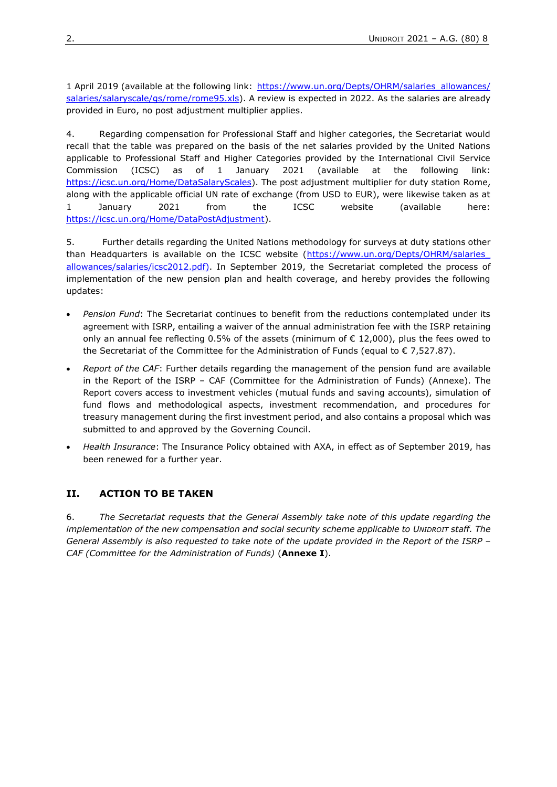1 April 2019 (available at the following link: [https://www.un.org/Depts/OHRM/salaries\\_allowances/](https://www.un.org/Depts/OHRM/salaries_allowances/salaries/salaryscale/gs/rome/rome95.xls) [salaries/salaryscale/gs/rome/rome95.xls\)](https://www.un.org/Depts/OHRM/salaries_allowances/salaries/salaryscale/gs/rome/rome95.xls). A review is expected in 2022. As the salaries are already provided in Euro, no post adjustment multiplier applies.

4. Regarding compensation for Professional Staff and higher categories, the Secretariat would recall that the table was prepared on the basis of the net salaries provided by the United Nations applicable to Professional Staff and Higher Categories provided by the International Civil Service Commission (ICSC) as of 1 January 2021 (available at the following link: https://icsc.un.org/Home/DataSalaryScales). The post adjustment multiplier for duty station Rome, along with the applicable official UN rate of exchange (from USD to EUR), were likewise taken as at 1 January 2021 from the ICSC website (available here: https://icsc.un.org/Home/DataPostAdjustment).

5. Further details regarding the United Nations methodology for surveys at duty stations other than Headquarters is available on the ICSC website (https://www.un.org/Depts/OHRM/salaries [allowances/salaries/icsc2012.pdf\).](https://www.un.org/Depts/OHRM/salaries_allowances/salaries/icsc2012.pdf) In September 2019, the Secretariat completed the process of implementation of the new pension plan and health coverage, and hereby provides the following updates:

- *Pension Fund*: The Secretariat continues to benefit from the reductions contemplated under its agreement with ISRP, entailing a waiver of the annual administration fee with the ISRP retaining only an annual fee reflecting 0.5% of the assets (minimum of  $\epsilon$  12,000), plus the fees owed to the Secretariat of the Committee for the Administration of Funds (equal to  $\epsilon$  7,527.87).
- *Report of the CAF*: Further details regarding the management of the pension fund are available in the Report of the ISRP – CAF (Committee for the Administration of Funds) (Annexe). The Report covers access to investment vehicles (mutual funds and saving accounts), simulation of fund flows and methodological aspects, investment recommendation, and procedures for treasury management during the first investment period, and also contains a proposal which was submitted to and approved by the Governing Council.
- *Health Insurance*: The Insurance Policy obtained with AXA, in effect as of September 2019, has been renewed for a further year.

# **II. ACTION TO BE TAKEN**

6. *The Secretariat requests that the General Assembly take note of this update regarding the implementation of the new compensation and social security scheme applicable to UNIDROIT staff. The General Assembly is also requested to take note of the update provided in the Report of the ISRP – CAF (Committee for the Administration of Funds)* (**Annexe I**).